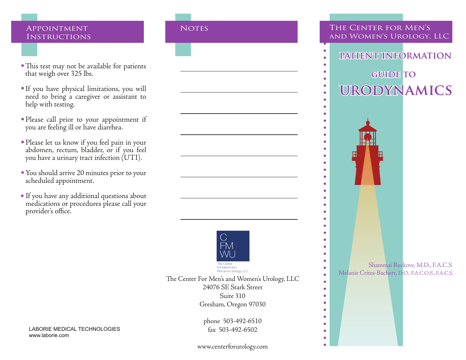### APPOINTMENT NOTES **INSTRUCTIONS**

- This test may not be available for patients that weigh over 325 lbs.
- If you have physical limitations, you will need to bring a caregiver or assistant to help with testing.
- Please call prior to your appointment if you are feeling ill or have diarrhea.
- Please let us know if you feel pain in your abdomen, rectum, bladder, or if you feel you have a urinary tract infection (UTI).
- You should arrive 20 minutes prior to your scheduled appointment.
- If you have any additional questions about •medications or procedures please call your provider's office.



24076 SE Stark Street The Center For Men's and Women's Urology, LLC Suite 310

Suite  $\frac{510}{55}$ Gresham, Oregon 97030

phone 503-492-6510 fax 503-492-6502

LABORIE MEDICAL TECHNOLOGIES www.laborie.com

www.centerforurology.com

## The Center for Men's and Women's Urology, LLC

- **patient information**
	- **GUIDE TO**

 $\bullet$  $\bullet$ 

# **urodynamics**